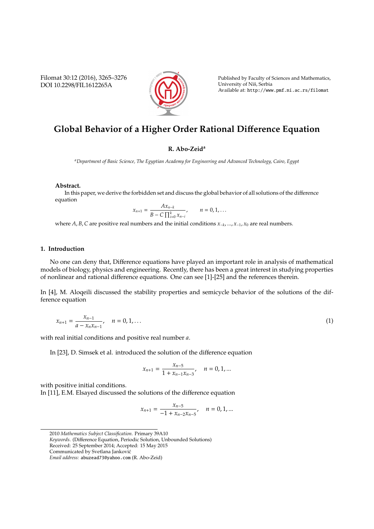Filomat 30:12 (2016), 3265–3276 DOI 10.2298/FIL1612265A



Published by Faculty of Sciences and Mathematics, University of Niš, Serbia Available at: http://www.pmf.ni.ac.rs/filomat

# **Global Behavior of a Higher Order Rational Di**ff**erence Equation**

## **R. Abo-Zeid<sup>a</sup>**

*<sup>a</sup>Department of Basic Science, The Egyptian Academy for Engineering and Advanced Technology, Cairo, Egypt*

### **Abstract.**

In this paper, we derive the forbidden set and discuss the global behavior of all solutions of the difference equation

$$
x_{n+1} = \frac{Ax_{n-k}}{B - C \prod_{i=0}^{k} x_{n-i}}, \qquad n = 0, 1, ...
$$

where *A*, *B*,*C* are positive real numbers and the initial conditions *x*<sup>−</sup>*<sup>k</sup>* , ..., *x*<sup>−</sup>1, *x*<sup>0</sup> are real numbers.

## **1. Introduction**

No one can deny that, Difference equations have played an important role in analysis of mathematical models of biology, physics and engineering. Recently, there has been a great interest in studying properties of nonlinear and rational difference equations. One can see [1]-[25] and the references therein.

In [4], M. Aloqeili discussed the stability properties and semicycle behavior of the solutions of the difference equation

$$
x_{n+1} = \frac{x_{n-1}}{a - x_n x_{n-1}}, \quad n = 0, 1, \dots
$$
 (1)

with real initial conditions and positive real number *a*.

In [23], D. Simsek et al. introduced the solution of the difference equation

$$
x_{n+1} = \frac{x_{n-5}}{1 + x_{n-1}x_{n-3}}, \quad n = 0, 1, ...
$$

with positive initial conditions.

In [11], E.M. Elsayed discussed the solutions of the difference equation

$$
x_{n+1} = \frac{x_{n-5}}{-1 + x_{n-2}x_{n-5}}, \quad n = 0, 1, ...
$$

<sup>2010</sup> *Mathematics Subject Classification*. Primary 39A10

*Keywords*. (Difference Equation, Periodic Solution, Unbounded Solutions)

Received: 25 September 2014; Accepted: 15 May 2015

Communicated by Svetlana Jankovic´

*Email address:* abuzead73@yahoo.com (R. Abo-Zeid)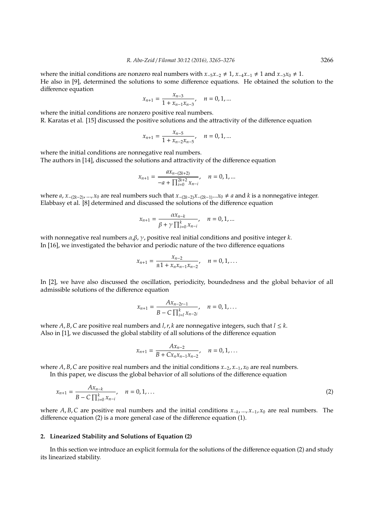where the initial conditions are nonzero real numbers with  $x_{-5}x_{-2} \neq 1$ ,  $x_{-4}x_{-1} \neq 1$  and  $x_{-3}x_0 \neq 1$ . He also in [9], determined the solutions to some difference equations. He obtained the solution to the difference equation

$$
x_{n+1}=\frac{x_{n-3}}{1+x_{n-1}x_{n-3}},\quad n=0,1,\ldots
$$

where the initial conditions are nonzero positive real numbers.

R. Karatas et al. [15] discussed the positive solutions and the attractivity of the difference equation

$$
x_{n+1} = \frac{x_{n-5}}{1 + x_{n-2}x_{n-5}}, \quad n = 0, 1, ...
$$

where the initial conditions are nonnegative real numbers. The authors in [14], discussed the solutions and attractivity of the difference equation

$$
x_{n+1} = \frac{ax_{n-(2k+2)}}{-a + \prod_{i=0}^{2k+2} x_{n-i}}, \quad n = 0, 1, ...
$$

where *a*, *x*<sup>−</sup>(2*k*−2), ..., *x*<sup>0</sup> are real numbers such that *x*<sup>−</sup>(2*k*−2)*x*<sup>−</sup>(2*k*−1)...*x*<sup>0</sup> , *a* and *k* is a nonnegative integer. Elabbasy et al. [8] determined and discussed the solutions of the difference equation

$$
x_{n+1} = \frac{\alpha x_{n-k}}{\beta + \gamma \prod_{i=0}^{k} x_{n-i}}, \quad n = 0, 1, ...
$$

with nonnegative real numbers  $\alpha, \beta, \gamma$ , positive real initial conditions and positive integer *k*. In [16], we investigated the behavior and periodic nature of the two difference equations

$$
x_{n+1} = \frac{x_{n-2}}{\pm 1 + x_n x_{n-1} x_{n-2}}, \quad n = 0, 1, \dots
$$

In [2], we have also discussed the oscillation, periodicity, boundedness and the global behavior of all admissible solutions of the difference equation

$$
x_{n+1} = \frac{Ax_{n-2r-1}}{B - C \prod_{i=1}^{k} x_{n-2i}}, \quad n = 0, 1, ...
$$

where *A*, *B*, *C* are positive real numbers and *l*, *r*, *k* are nonnegative integers, such that  $l \leq k$ . Also in [1], we discussed the global stability of all solutions of the difference equation

$$
x_{n+1} = \frac{Ax_{n-2}}{B + Cx_nx_{n-1}x_{n-2}}, \quad n = 0, 1, ...
$$

where *A*, *B*,*C* are positive real numbers and the initial conditions *x*<sup>−</sup>2, *x*<sup>−</sup>1, *x*<sup>0</sup> are real numbers. In this paper, we discuss the global behavior of all solutions of the difference equation

$$
x_{n+1} = \frac{Ax_{n-k}}{B - C \prod_{i=0}^{k} x_{n-i}}, \quad n = 0, 1, ... \tag{2}
$$

where *A*, *B*,*C* are positive real numbers and the initial conditions *x*<sup>−</sup>*<sup>k</sup>* , ..., *x*<sup>−</sup>1, *x*<sup>0</sup> are real numbers. The difference equation (2) is a more general case of the difference equation (1).

#### **2. Linearized Stability and Solutions of Equation (2)**

In this section we introduce an explicit formula for the solutions of the difference equation (2) and study its linearized stability.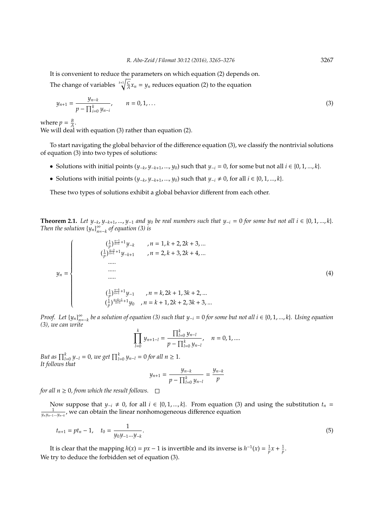It is convenient to reduce the parameters on which equation (2) depends on.

The change of variables  $k+1$   $\sqrt{\frac{C}{A}}x_n = y_n$  reduces equation (2) to the equation

$$
y_{n+1} = \frac{y_{n-k}}{p - \prod_{i=0}^{k} y_{n-i}}, \qquad n = 0, 1, ... \qquad (3)
$$

where  $p = \frac{B}{A}$ .

We will deal with equation (3) rather than equation (2).

To start navigating the global behavior of the difference equation (3), we classify the nontrivial solutions of equation (3) into two types of solutions:

- Solutions with initial points  $(y_{-k}, y_{-k+1}, ..., y_0)$  such that  $y_{-i} = 0$ , for some but not all  $i \in \{0, 1, ..., k\}$ .
- Solutions with initial points  $(y_{-k}, y_{-k+1}, ..., y_0)$  such that  $y_{-i} \neq 0$ , for all  $i \in \{0, 1, ..., k\}$ .

These two types of solutions exhibit a global behavior different from each other.

**Theorem 2.1.** Let  $y_{-k}$ ,  $y_{-k+1}$ , ...,  $y_{-1}$  and  $y_0$  be real numbers such that  $y_{-i} = 0$  for some but not all  $i \in \{0, 1, ..., k\}$ . *Then the solution*  ${y_n}_{n=-k}^{\infty}$  *of equation (3) is* 

$$
y_{n} = \begin{cases}\n(\frac{1}{p})^{\frac{n-1}{k+1}+1} y_{-k} & , n = 1, k+2, 2k+3, ... \\
(\frac{1}{p})^{\frac{n-2}{k+1}+1} y_{-k+1} & , n = 2, k+3, 2k+4, ... \\
& \dots \dots \\
& \dots \dots \\
& (\frac{1}{p})^{\frac{n-k}{k+1}+1} y_{-1} & , n = k, 2k+1, 3k+2, ... \\
& (\frac{1}{p})^{\frac{n-k-1}{k+1}+1} y_{0} & , n = k+1, 2k+2, 3k+3, ... \n\end{cases}
$$
\n(4)

*Proof.* Let  $\{y_n\}_{n=-k}^{\infty}$  be a solution of equation (3) such that  $y_{-i} = 0$  for some but not all  $i \in \{0, 1, ..., k\}$ . Using equation *(3), we can write*

$$
\prod_{l=0}^k y_{n+1-l} = \frac{\prod_{l=0}^k y_{n-l}}{p - \prod_{l=0}^k y_{n-l}}, \quad n = 0, 1, ....
$$

*But as*  $\prod_{l=0}^{k} y_{-l} = 0$ *, we get*  $\prod_{l=0}^{k} y_{n-l} = 0$  *for all*  $n \ge 1$ *. It follows that*

$$
y_{n+1} = \frac{y_{n-k}}{p - \prod_{l=0}^{k} y_{n-l}} = \frac{y_{n-k}}{p}
$$

*for all*  $n \geq 0$ *, from which the result follows.*  $\Box$ 

Now suppose that  $y_{-i} \neq 0$ , for all  $i \in \{0, 1, ..., k\}$ . From equation (3) and using the substitution  $t_n = \frac{1}{y_n y_{n-1} \dots y_{n-k}}$ , we can obtain the linear nonhomogeneous difference equation

$$
t_{n+1} = pt_n - 1, \quad t_0 = \frac{1}{y_0 y_{-1} \dots y_{-k}}.
$$
\n<sup>(5)</sup>

It is clear that the mapping  $h(x) = px - 1$  is invertible and its inverse is  $h^{-1}(x) = \frac{1}{p}x + \frac{1}{p}$ . We try to deduce the forbidden set of equation (3).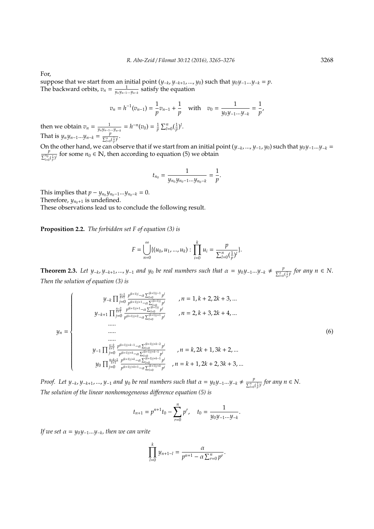For,

suppose that we start from an initial point (*y*<sup>−</sup>*<sup>k</sup>* , *y*<sup>−</sup>*k*+1, ..., *y*0) such that *y*<sup>0</sup> *y*<sup>−</sup>1...*y*<sup>−</sup>*<sup>k</sup>* = *p*. The backward orbits,  $v_n = \frac{1}{y_n y_{n-1} \dots y_{n-k}}$  satisfy the equation

$$
v_n = h^{-1}(v_{n-1}) = \frac{1}{p}v_{n-1} + \frac{1}{p} \quad \text{with} \quad v_0 = \frac{1}{y_0 y_{-1} \dots y_{-k}} = \frac{1}{p},
$$
  
then we obtain  $v_n = \frac{1}{y_n y_{n-1} \dots y_{n-k}} = h^{-n}(v_0) = \frac{1}{p} \sum_{l=0}^n (\frac{1}{p})^l$ .  
That is  $y_n y_{n-1} \dots y_{n-k} = \frac{p}{\sum_{l=0}^n (\frac{1}{p})^l}$ .

On the other hand, we can observe that if we start from an initial point (*y*<sup>−</sup>*<sup>k</sup>* , ..., *y*<sup>−</sup>1, *y*0) such that *y*<sup>0</sup> *y*<sup>−</sup>1...*y*<sup>−</sup>*<sup>k</sup>* =  $\frac{p}{\sum_{l=0}^{n_0}(\frac{1}{p})^l}$  for some  $n_0 \in \mathbb{N}$ , then according to equation (5) we obtain

$$
t_{n_0}=\frac{1}{y_{n_0}y_{n_0-1}...y_{n_0-k}}=\frac{1}{p}.
$$

This implies that  $p - y_{n_0}y_{n_0-1}...y_{n_0-k} = 0$ . Therefore,  $y_{n_0+1}$  is undefined.

These observations lead us to conclude the following result.

**Proposition 2.2.** *The forbidden set F of equation (3) is*

$$
F = \bigcup_{n=0}^{\infty} \{ (u_0, u_1, ..., u_k) : \prod_{i=0}^{k} u_i = \frac{p}{\sum_{l=0}^{n} (\frac{1}{p})^l} \}.
$$

**Theorem 2.3.** Let  $y_{-k}, y_{-k+1}, ..., y_{-1}$  and  $y_0$  be real numbers such that  $\alpha = y_0 y_{-1} ... y_{-k} \neq \frac{p}{\sum_{i=1}^{n} p_i}$  $\frac{p}{\sum_{l=0}^{n}(\frac{1}{p})^{l}}$  for any  $n \in N$ . *Then the solution of equation (3) is*

$$
y_{n} = \begin{cases}\ny_{-k} \prod_{j=0}^{\frac{n-1}{k+1}} \frac{p^{(k+1)j} - \alpha \sum_{j=0}^{(k+1)j} p^{j}}{p^{(k+1)j+1} - \alpha \sum_{j=0}^{(k+1)j} p^{j}} , & n = 1, k+2, 2k+3, ... \\
y_{n} = \begin{cases}\ny_{-k+1} \prod_{j=0}^{\frac{n-2}{k+1}} \frac{p^{(k+1)j+1} - \alpha \sum_{j=0}^{(k+1)j} p^{j}}{p^{(k+1)j+2} - \alpha \sum_{i=0}^{(k+1)j+1} p^{j}} , & n = 2, k+3, 2k+4, ... \\
& \dots & \dots & \dots \\
& \dots & \dots & \dots \\
& \dots & \dots & \dots \\
& & \dots & \dots \\
& & & \dots \\
y_{-1} \prod_{j=0}^{\frac{n-1}{k+1}} \frac{p^{(k+1)j+k-1} - \alpha \sum_{j=0}^{(k+1)j+k-2} p^{j}}{p^{(k+1)j+k} - \alpha \sum_{j=0}^{(k+1)j+k-1} p^{j}} , & n = k, 2k+1, 3k+2, ... \\
& & y_{0} \prod_{j=0}^{\frac{n-k-1}{k+1}} \frac{p^{(k+1)j+k} - \alpha \sum_{j=0}^{(k+1)j+k-1} p^{j}}{p^{(k+1)j+k} - \alpha \sum_{j=0}^{(k+1)j+k-1} p^{j}} , & n = k+1, 2k+2, 3k+3, ... \end{cases}
$$
\n(6)

*Proof.* Let  $y_{-k}$ ,  $y_{-k+1}$ , ...,  $y_{-1}$  and  $y_0$  be real numbers such that  $\alpha = y_0 y_{-1} ... y_{-k} \neq \frac{p}{\sum_{i=1}^{n} p_i}$  $\frac{p}{\sum_{l=0}^{n}(\frac{1}{p})^{l}}$  for any  $n \in N$ . *The solution of the linear nonhomogeneous di*ff*erence equation (5) is*

$$
t_{n+1} = p^{n+1}t_0 - \sum_{r=0}^n p^r, \quad t_0 = \frac{1}{y_0 y_{-1} \dots y_{-k}}.
$$

*If we set* α = *y*<sup>0</sup> *y*<sup>−</sup>1...*y*<sup>−</sup>*<sup>k</sup> , then we can write*

$$
\prod_{l=0}^{k} y_{n+1-l} = \frac{\alpha}{p^{n+1} - \alpha \sum_{r=0}^{n} p^r}.
$$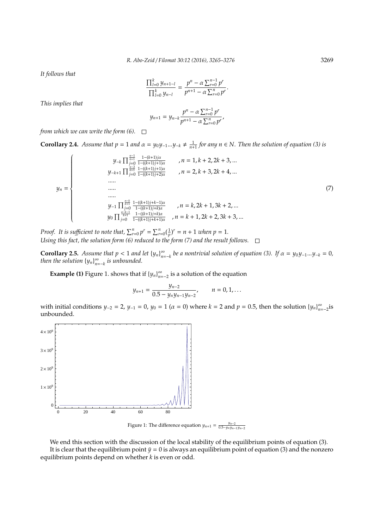*It follows that*

$$
\frac{\prod_{l=0}^{k} y_{n+1-l}}{\prod_{l=0}^{k} y_{n-l}} = \frac{p^{n} - \alpha \sum_{r=0}^{n-1} p^{r}}{p^{n+1} - \alpha \sum_{r=0}^{n} p^{r}}.
$$

*This implies that*

$$
y_{n+1} = y_{n-k} \frac{p^n - \alpha \sum_{r=0}^{n-1} p^r}{p^{n+1} - \alpha \sum_{r=0}^{n} p^r},
$$

*from which we can write the form (6).*

**Corollary 2.4.** *Assume that*  $p = 1$  *and*  $\alpha = y_0 y_{-1} ... y_{-k} ≠ \frac{1}{n+1}$  *for any*  $n \in \mathbb{N}$ *. Then the solution of equation (3) is* 

$$
y_{n} = \begin{cases}\ny_{-k} \prod_{j=0}^{\frac{n-1}{k+1}} \frac{1-(k+1)j\alpha}{1-(k+1)j+1)\alpha} & , n = 1, k+2, 2k+3, ... \\
y_{-k+1} \prod_{j=0}^{\frac{n-2}{k+1}} \frac{1-(k+1)j+1\alpha}{1-(k+1)j+2)\alpha} & , n = 2, k+3, 2k+4, ... \\
& \dots \\
\vdots \\
y_{-1} \prod_{j=0}^{\frac{n-k}{k+1}} \frac{1-(k+1)j+k-1\alpha}{1-(k+1)j+k}\n\end{cases}, n = k, 2k+1, 3k+2, ... \\
y_{0} \prod_{j=0}^{\frac{n-k}{k+1}} \frac{1-(k+1)j+k\alpha}{1-(k+1)j+k+1)\alpha} & , n = k+1, 2k+2, 3k+3, ...
$$
\n(7)

*Proof.* It is sufficient to note that,  $\sum_{r=0}^{n} p^r = \sum_{r=0}^{n} (\frac{1}{p})^r = n + 1$  when  $p = 1$ . *Using this fact, the solution form (6) reduced to the form (7) and the result follows.*

**Corollary 2.5.** Assume that  $p < 1$  and let  ${y_n}_{n=k}^{\infty}$  be a nontrivial solution of equation (3). If  $\alpha = y_0 y_{-1}...y_{-k} = 0$ , *then the solution*  ${y_n}_{n=-k}^{\infty}$  *is unbounded.* 

**Example (1)** Figure 1. shows that if  ${y_n}_{n=-2}^{\infty}$  is a solution of the equation

$$
y_{n+1} = \frac{y_{n-2}}{0.5 - y_n y_{n-1} y_{n-2}}, \qquad n = 0, 1, ...
$$

with initial conditions  $y_{-2} = 2$ ,  $y_{-1} = 0$ ,  $y_0 = 1$  ( $\alpha = 0$ ) where  $k = 2$  and  $p = 0.5$ , then the solution  $\{y_n\}_{n=-2}^{\infty}$  is unbounded.



Figure 1: The difference equation  $y_{n+1} = \frac{y_{n-2}}{0.5-y_n y_{n-1} y_{n-2}}$ 

We end this section with the discussion of the local stability of the equilibrium points of equation (3). It is clear that the equilibrium point  $\bar{y} = 0$  is always an equilibrium point of equation (3) and the nonzero equilibrium points depend on whether *k* is even or odd.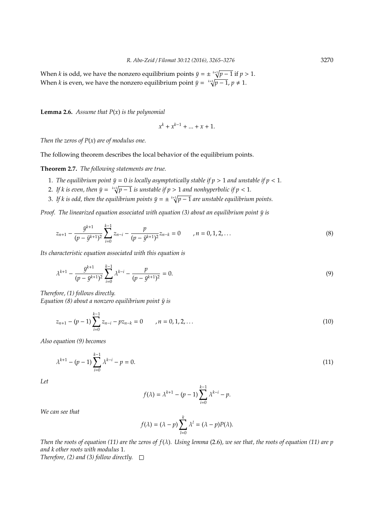When *k* is odd, we have the nonzero equilibrium points  $\bar{y} = \pm \sqrt[k+1]{p-1}$  if  $p > 1$ . When *k* is even, we have the nonzero equilibrium point  $\bar{y} = \sqrt[k+1]{p-1}$ ,  $p \neq 1$ .

**Lemma 2.6.** *Assume that P*(*x*) *is the polynomial*

$$
x^k+x^{k-1}+\ldots+x+1.
$$

*Then the zeros of P*(*x*) *are of modulus one.*

The following theorem describes the local behavior of the equilibrium points.

**Theorem 2.7.** *The following statements are true.*

- 1. *The equilibrium point*  $\bar{y} = 0$  *is locally asymptotically stable if*  $p > 1$  *and unstable if*  $p < 1$ *.*
- 2. If  $k$  is even, then  $\bar{y} = k + 1 \sqrt{p-1}$  is unstable if  $p > 1$  and nonhyperbolic if  $p < 1$ .
- 3. If  $k$  is odd, then the equilibrium points  $\bar{y}=\pm\sqrt[k+1]{p-1}$  are unstable equilibrium points.

*Proof. The linearized equation associated with equation (3) about an equilibrium point*  $\bar{y}$  *is* 

$$
z_{n+1} - \frac{\bar{y}^{k+1}}{(p - \bar{y}^{k+1})^2} \sum_{i=0}^{k-1} z_{n-i} - \frac{p}{(p - \bar{y}^{k+1})^2} z_{n-k} = 0 \qquad , n = 0, 1, 2, ... \qquad (8)
$$

*Its characteristic equation associated with this equation is*

$$
\lambda^{k+1} - \frac{\bar{y}^{k+1}}{(p - \bar{y}^{k+1})^2} \sum_{i=0}^{k-1} \lambda^{k-i} - \frac{p}{(p - \bar{y}^{k+1})^2} = 0.
$$
\n(9)

*Therefore, (1) follows directly.*

*Equation (8) about a nonzero equilibrium point*  $\bar{y}$  *is* 

$$
z_{n+1} - (p-1) \sum_{i=0}^{k-1} z_{n-i} - p z_{n-k} = 0 \qquad , n = 0, 1, 2, ... \qquad (10)
$$

*Also equation (9) becomes*

$$
\lambda^{k+1} - (p-1) \sum_{i=0}^{k-1} \lambda^{k-i} - p = 0. \tag{11}
$$

*Let*

$$
f(\lambda) = \lambda^{k+1} - (p-1) \sum_{i=0}^{k-1} \lambda^{k-i} - p.
$$

*We can see that*

$$
f(\lambda) = (\lambda - p) \sum_{l=0}^{k} \lambda^{l} = (\lambda - p)P(\lambda).
$$

*Then the roots of equation (11) are the zeros of f*(λ)*. Using lemma* (2.6)*, we see that, the roots of equation (11) are p and k other roots with modulus* 1*.*

*Therefore, (2) and (3) follow directly.*  $\square$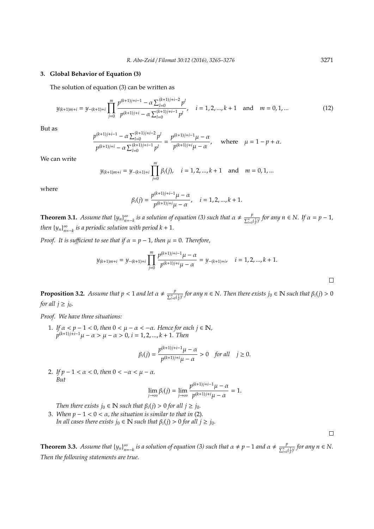#### **3. Global Behavior of Equation (3)**

The solution of equation (3) can be written as

$$
y_{(k+1)m+i} = y_{-(k+1)+i} \prod_{j=0}^{m} \frac{p^{(k+1)j+i-1} - \alpha \sum_{l=0}^{(k+1)j+i-2} p^l}{p^{(k+1)j+i} - \alpha \sum_{l=0}^{(k+1)j+i-1} p^l}, \quad i = 1, 2, ..., k+1 \text{ and } m = 0, 1, ... \tag{12}
$$

But as

$$
\frac{p^{(k+1)j+i-1}-\alpha\sum_{l=0}^{(k+1)j+i-2}p^l}{p^{(k+1)j+i}-\alpha\sum_{l=0}^{(k+1)j+i-1}p^l}=\frac{p^{(k+1)j+i-1}\mu-\alpha}{p^{(k+1)j+i}\mu-\alpha},\quad\text{ where}\quad \mu=1-p+\alpha.
$$

We can write

$$
y_{(k+1)m+i} = y_{-(k+1)+i} \prod_{j=0}^{m} \beta_i(j), \quad i = 1, 2, ..., k+1 \text{ and } m = 0, 1, ...
$$

where

$$
\beta_i(j) = \frac{p^{(k+1)j+i-1}\mu - \alpha}{p^{(k+1)j+i}\mu - \alpha}, \quad i = 1, 2, ..., k+1.
$$

**Theorem 3.1.** *Assume that*  ${y_n}_{n=k}^{\infty}$  *is a solution of equation (3) such that*  $\alpha \neq \frac{p}{\sum_{i=0}^{n}}$  $\frac{p}{\sum_{l=0}^{n}(\frac{1}{p})^{l}}$  for any  $n \in \mathbb{N}$ . If  $\alpha = p - 1$ *, then*  ${y_n}_{n=-k}$  *is a periodic solution with period*  $k + 1$ *.* 

*Proof. It is sufficient to see that if*  $\alpha = p - 1$ *, then*  $\mu = 0$ *. Therefore,* 

$$
y_{(k+1)m+i} = y_{-(k+1)+i} \prod_{j=0}^{m} \frac{p^{(k+1)j+i-1}\mu - \alpha}{p^{(k+1)j+i}\mu - \alpha} = y_{-(k+1)+i}, \quad i = 1, 2, ..., k+1.
$$

**Proposition 3.2.** Assume that  $p < 1$  and let  $\alpha \neq \frac{p}{\sqrt{n}}$  $\frac{p}{\sum_{l=0}^{n} {(\frac{l}{p})^{l}}}$  for any  $n \in \mathbb{N}$ . Then there exists  $j_0 \in \mathbb{N}$  such that  $\beta_i(j) > 0$ *for all*  $j \geq j_0$ *.* 

*Proof. We have three situations:*

1. If  $\alpha < p - 1 < 0$ , then  $0 < \mu - \alpha < -\alpha$ . Hence for each  $j \in \mathbb{N}$ ,  $p^{(k+1)j+i-1}\mu - \alpha > \mu - \alpha > 0, i = 1, 2, ..., k + 1$ . Then

$$
\beta_i(j) = \frac{p^{(k+1)j+i-1}\mu - \alpha}{p^{(k+1)j+i}\mu - \alpha} > 0 \quad \text{for all} \quad j \ge 0.
$$

2. *If*  $p - 1 < \alpha < 0$ , then  $0 < -\alpha < \mu - \alpha$ . *But*

$$
\lim_{j\to\infty}\beta_i(j)=\lim_{j\to\infty}\frac{p^{(k+1)j+i-1}\mu-\alpha}{p^{(k+1)j+i}\mu-\alpha}=1.
$$

*Then there exists*  $j_0 \in \mathbb{N}$  *such that*  $\beta_i(j) > 0$  *for all*  $j \geq j_0$ *.* 

3. When  $p - 1 < 0 < \alpha$ , the situation is similar to that in (2). *In all cases there exists*  $j_0 \in \mathbb{N}$  *such that*  $\beta_i(j) > 0$  *for all*  $j \ge j_0$ *.* 

**Theorem 3.3.** *Assume that*  ${y_n}_{n=-k}^{\infty}$  *is a solution of equation (3) such that*  $\alpha \neq p-1$  *and*  $\alpha \neq \frac{p}{\sum_{i=0}^{n}}$  $\frac{p}{\sum_{l=0}^{n}(\frac{1}{p})^{l}}$  for any  $n \in N$ . *Then the following statements are true.*

 $\Box$ 

 $\Box$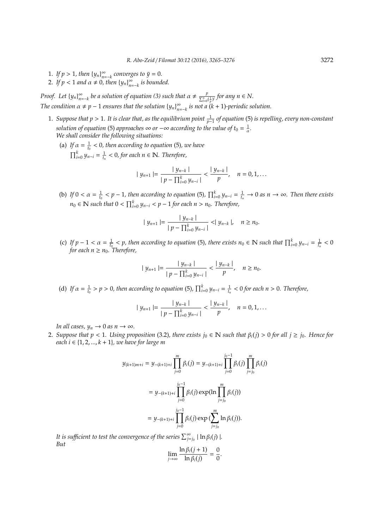- 1. If  $p > 1$ , then  ${y_n}_{n = -k}^{\infty}$  converges to  $\bar{y} = 0$ .
- 2. If  $p < 1$  and  $\alpha \neq 0$ , then  $\{y_n\}_{n=-k}^{\infty}$  is bounded.

*Proof.* Let  $\{y_n\}_{n=-k}^{\infty}$  be a solution of equation (3) such that  $\alpha \neq \frac{p}{\sum_{i=0}^{n}}$  $\frac{p}{\sum_{l=0}^{n}(\frac{1}{p})^{l}}$  for any  $n \in N$ . *The condition*  $\alpha \neq p-1$  *ensures that the solution*  $\{y_n\}_{n=-k}^{\infty}$  *is not*  $\alpha$  (*k* + 1)*-periodic solution.* 

- 1. *Suppose that p* > 1*. It is clear that, as the equilibrium point* <sup>1</sup> *p*−1 *of equation* (5) *is repelling, every non-constant solution of equation* (5) *approaches*  $\infty$  *or*  $-\infty$  *according to the value of*  $t_0 = \frac{1}{\alpha}$ *. We shall consider the following situations:*
	- (a) If  $\alpha = \frac{1}{t_0} < 0$ , then according to equation (5), we have  $\prod_{i=0}^{k} y_{n-i} = \frac{1}{t_n} < 0$ , for each  $n \in \mathbb{N}$ . Therefore,

$$
|y_{n+1}| = \frac{|y_{n-k}|}{|p - \prod_{i=0}^k y_{n-i}|} < \frac{|y_{n-k}|}{p}, \quad n = 0, 1, \ldots
$$

(b) If  $0 < \alpha = \frac{1}{t_0} < p - 1$ , then according to equation (5),  $\prod_{i=0}^{k} y_{n-i} = \frac{1}{t_n} \to 0$  as  $n \to \infty$ . Then there exists *n*<sub>0</sub> ∈ **N** such that  $0 < \prod_{i=0}^{k} y_{n-i} < p-1$  for each  $n > n_0$ . Therefore,

$$
|y_{n+1}| = \frac{|y_{n-k}|}{|p - \prod_{i=0}^k y_{n-i}|} < |y_{n-k}|, \quad n \ge n_0.
$$

(c) If  $p - 1 < \alpha = \frac{1}{t_0} < p$ , then according to equation (5), there exists  $n_0 \in \mathbb{N}$  such that  $\prod_{i=0}^{k} y_{n-i} = \frac{1}{t_n} < 0$  $f$ or each  $n \geq n_0$ . Therefore,

$$
|y_{n+1}| = \frac{|y_{n-k}|}{|p - \prod_{i=0}^k y_{n-i}|} < \frac{|y_{n-k}|}{p}, \quad n \ge n_0.
$$

(d) If  $\alpha = \frac{1}{t_0} > p > 0$ , then according to equation (5),  $\prod_{i=0}^{k} y_{n-i} = \frac{1}{t_n} < 0$  for each  $n > 0$ . Therefore,

$$
|y_{n+1}| = \frac{|y_{n-k}|}{|p - \prod_{i=0}^k y_{n-i}|} < \frac{|y_{n-k}|}{p}, \quad n = 0, 1, ...
$$

*In all cases,*  $y_n \to 0$  *as*  $n \to \infty$ *.* 

2. Suppose that  $p < 1$ . Using proposition (3.2), there exists  $j_0 \in \mathbb{N}$  such that  $\beta_i(j) > 0$  for all  $j \ge j_0$ . Hence for *each*  $i$  ∈  $\{1, 2, ..., k + 1\}$ *, we have for large m* 

$$
y_{(k+1)m+i} = y_{-(k+1)+i} \prod_{j=0}^{m} \beta_i(j) = y_{-(k+1)+i} \prod_{j=0}^{j_0-1} \beta_i(j) \prod_{j=j_0}^{m} \beta_i(j)
$$
  
=  $y_{-(k+1)+i} \prod_{j=0}^{j_0-1} \beta_i(j) \exp(\ln \prod_{j=j_0}^{m} \beta_i(j))$   
=  $y_{-(k+1)+i} \prod_{j=0}^{j_0-1} \beta_i(j) \exp(\sum_{j=j_0}^{m} \ln \beta_i(j)).$ 

*It is sufficient to test the convergence of the series*  $\sum_{j=j_0}^{\infty} | \ln \beta_i(j) |$ . *But*

$$
\lim_{j\to\infty}\frac{\ln\beta_i(j+1)}{\ln\beta_i(j)}=\frac{0}{0}
$$

.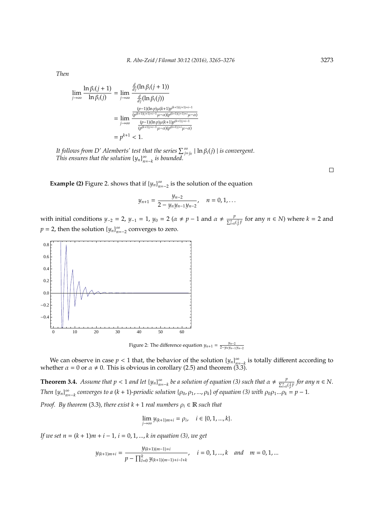*Then*

$$
\lim_{j \to \infty} \frac{\ln \beta_i(j+1)}{\ln \beta_i(j)} = \lim_{j \to \infty} \frac{\frac{d}{dj}(\ln \beta_i(j+1))}{\frac{d}{dj}(\ln \beta_i(j))}
$$
\n
$$
= \lim_{j \to \infty} \frac{\frac{(p-1)(\ln p)\mu(k+1)p^{(k+1)(j+1)+i-1}}{(p^{(k+1)(j+1)+i-1}\mu - \alpha)(p^{(k+1)(j+1)+i}\mu - \alpha)}}{\frac{(p-1)(\ln p)\mu(k+1)p^{(k+1)(j+1)+i}}{(p^{(k+1))j+i-1}\mu - \alpha)(p^{(k+1)j+i}-\alpha)}}
$$
\n
$$
= p^{k+1} < 1.
$$

*It follows from D' Alemberts' test that the series*  $\sum_{j=j_0}^{\infty} |\ln \beta_i(j)|$  *is convergent. This ensures that the solution*  $\{y_n\}_{n=-k}^{\infty}$  *is bounded.* 

**Example (2)** Figure 2. shows that if  ${y_n}_{n=-2}^{\infty}$  is the solution of the equation

$$
y_{n+1} = \frac{y_{n-2}}{2 - y_n y_{n-1} y_{n-2}}, \quad n = 0, 1, ...
$$

with initial conditions *y*<sub>−2</sub> = 2, *y*<sub>−1</sub> = 1, *y*<sub>0</sub> = 2 (*α* ≠ *p* − 1 and *α* ≠  $\frac{p}{\sum_{n=1}^{n} q_n}$  $\frac{p}{\sum_{i=0}^{n}(\frac{1}{p})^{i}}$  for any  $n \in N$ ) where  $k = 2$  and  $p = 2$ , then the solution  ${y_n}_{n=-2}^{\infty}$  converges to zero.



Figure 2: The difference equation  $y_{n+1} = \frac{y_{n-2}}{2 - y_n y_{n-1} y_{n-2}}$ 

We can observe in case  $p < 1$  that, the behavior of the solution  $\{y_n\}_{n=-k}^{\infty}$  is totally different according to whether  $\alpha = 0$  or  $\alpha \neq 0$ . This is obvious in corollary (2.5) and theorem (3.3).

**Theorem 3.4.** *Assume that*  $p < 1$  *and let*  $\{y_n\}_{n=-k}^{\infty}$  *be a solution of equation (3) such that*  $\alpha \neq \frac{p}{\sum_{i=0}^{n}}$  $\frac{p}{\sum_{l=0}^{n}(\frac{1}{p})^{l}}$  for any  $n \in N$ . *Then*  $\{y_n\}_{n=-k}^{\infty}$  *converges to a* (*k* + 1)*-periodic solution*  $\{p_0, p_1, ..., p_k\}$  *of equation* (3) with  $p_0p_1...p_k = p-1$ .

*Proof.* By theorem (3.3), there exist  $k + 1$  real numbers  $\rho_i \in \mathbb{R}$  such that

$$
\lim_{j \to \infty} y_{(k+1)m+i} = \rho_i, \quad i \in \{0, 1, ..., k\}.
$$

*If we set*  $n = (k + 1)m + i - 1$ ,  $i = 0, 1, ..., k$  *in equation (3), we get* 

$$
y_{(k+1)m+i} = \frac{y_{(k+1)(m-1)+i}}{p - \prod_{l=0}^{k} y_{(k+1)(m-1)+i-l+k}}, \quad i = 0, 1, ..., k \quad and \quad m = 0, 1, ...
$$

 $\Box$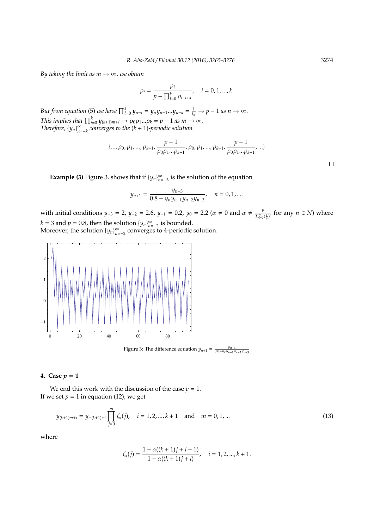*By taking the limit as*  $m \rightarrow \infty$ *, we obtain* 

$$
\rho_i = \frac{\rho_i}{p - \prod_{l=0}^k \rho_{i-l+k}}, \quad i = 0, 1, ..., k.
$$

*But from equation* (5) *we have*  $\prod_{l=0}^{k} y_{n-l} = y_n y_{n-1} ... y_{n-k} = \frac{1}{t_n} \rightarrow p-1$  *as*  $n \rightarrow \infty$ *. This implies that*  $\prod_{i=0}^{k} y_{(k+1)m+i} \rightarrow \rho_0 \rho_1 ... \rho_k = p - 1$  *as*  $m \rightarrow \infty$ *. Therefore,*  ${y_n}_{n=k}^{\infty}$  *converges to the*  $(k + 1)$ *-periodic solution* 

$$
\{\ldots, \rho_0, \rho_1, \ldots, \rho_{k-1}, \frac{p-1}{\rho_0 \rho_1 \ldots \rho_{k-1}}, \rho_0, \rho_1, \ldots, \rho_{k-1}, \frac{p-1}{\rho_0 \rho_1 \ldots \rho_{k-1}}, \ldots\}
$$

**Example (3)** Figure 3. shows that if  ${y_n}_{n=-3}^{\infty}$  is the solution of the equation

$$
y_{n+1} = \frac{y_{n-3}}{0.8 - y_n y_{n-1} y_{n-2} y_{n-3}}, \quad n = 0, 1, ...
$$

with initial conditions *y*<sub>−3</sub> = 2, *y*<sub>−2</sub> = 2.6, *y*<sub>−1</sub> = 0.2, *y*<sub>0</sub> = 2.2 ( $\alpha \neq 0$  and  $\alpha \neq \frac{p}{\sum_{i=1}^{n}}$  $\frac{p}{\sum_{l=0}^{n}(\frac{1}{p})^{l}}$  for any  $n \in N$ ) where  $k = 3$  and  $p = 0.8$ , then the solution  $\{y_n\}_{n=-2}^{\infty}$  is bounded.

Moreover, the solution  $\{y_n\}_{n=-2}^{\infty}$  converges to 4-periodic solution.



Figure 3: The difference equation  $y_{n+1} = \frac{y_{n-3}}{0.8-y_n y_{n-1} y_{n-2} y_{n-3}}$ 

## **4.** Case  $p = 1$

We end this work with the discussion of the case  $p = 1$ . If we set  $p = 1$  in equation (12), we get

$$
y_{(k+1)m+i} = y_{-(k+1)+i} \prod_{j=0}^{m} \zeta_i(j), \quad i = 1, 2, ..., k+1 \quad \text{and} \quad m = 0, 1, ... \tag{13}
$$

where

$$
\zeta_i(j) = \frac{1 - \alpha((k+1)j + i - 1)}{1 - \alpha((k+1)j + i)}, \quad i = 1, 2, ..., k+1.
$$

 $\Box$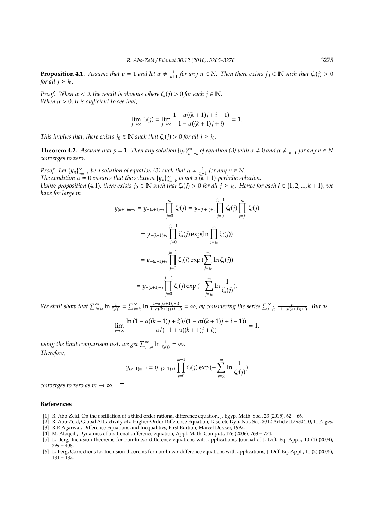**Proposition 4.1.** Assume that  $p = 1$  and let  $\alpha \neq \frac{1}{n+1}$  for any  $n \in \mathbb{N}$ . Then there exists  $j_0 \in \mathbb{N}$  such that  $\zeta_i(j) > 0$ *for all*  $j \geq j_0$ *.* 

*Proof.* When  $\alpha < 0$ , the result is obvious where  $\zeta_i(j) > 0$  for each  $j \in \mathbb{N}$ . *When*  $\alpha > 0$ , It is sufficient to see that,

$$
\lim_{j \to \infty} \zeta_i(j) = \lim_{j \to \infty} \frac{1 - \alpha((k+1)j + i - 1)}{1 - \alpha((k+1)j + i)} = 1.
$$

*This implies that, there exists*  $j_0 \in \mathbb{N}$  *such that*  $\zeta_i(j) > 0$  *for all*  $j \ge j_0$ *.*  $\Box$ 

**Theorem 4.2.** Assume that  $p = 1$ . Then any solution  ${y_n}_{n=-k}^{\infty}$  of equation (3) with  $\alpha \neq 0$  and  $\alpha \neq \frac{1}{n+1}$  for any  $n \in \mathbb{N}$ *converges to zero.*

*Proof.* Let  $\{y_n\}_{n=-k}^{\infty}$  be a solution of equation (3) such that  $\alpha \neq \frac{1}{n+1}$  for any  $n \in \mathbb{N}$ . *The condition*  $\alpha \neq 0$  *ensures that the solution*  $\{y_n\}_{n=-k}^{\infty}$  *is not a*  $(k+1)$ *-periodic solution. Using proposition* (4.1), there exists  $j_0 \in \mathbb{N}$  such that  $\zeta_i(j) > 0$  for all  $j \ge j_0$ . Hence for each  $i \in \{1, 2, ..., k + 1\}$ , we *have for large m*

$$
y_{(k+1)m+i} = y_{-(k+1)+i} \prod_{j=0}^{m} \zeta_i(j) = y_{-(k+1)+i} \prod_{j=0}^{j_0-1} \zeta_i(j) \prod_{j=j_0}^{m} \zeta_i(j)
$$
  

$$
= y_{-(k+1)+i} \prod_{j=0}^{j_0-1} \zeta_i(j) \exp(\ln \prod_{j=j_0}^{m} \zeta_i(j))
$$
  

$$
= y_{-(k+1)+i} \prod_{j=0}^{j_0-1} \zeta_i(j) \exp(\sum_{j=j_0}^{m} \ln \zeta_i(j))
$$
  

$$
= y_{-(k+1)+i} \prod_{j=0}^{j_0-1} \zeta_i(j) \exp(-\sum_{j=j_0}^{m} \ln \frac{1}{\zeta_i(j)}).
$$

We shall show that  $\sum_{j=j_0}^{\infty} \ln \frac{1}{\zeta_i(j)} = \sum_{j=j_0}^{\infty} \ln \frac{1-\alpha((k+1)j+i)}{1-\alpha((k+1)j+i-1)} = \infty$ , by considering the series  $\sum_{j=j_0}^{\infty} \frac{\alpha}{-1+\alpha((k+1)j+i)}$ . But as

$$
\lim_{j \to \infty} \frac{\ln(1 - \alpha((k+1)j + i))/(1 - \alpha((k+1)j + i - 1))}{\alpha/(-1 + \alpha((k+1)j + i))} = 1,
$$

*using the limit comparison test, we get*  $\sum_{j=j_0}^{\infty} \ln \frac{1}{\zeta_i(j)} = \infty$ *. Therefore,*

$$
y_{(k+1)m+i} = y_{-(k+1)+i} \prod_{j=0}^{j_0-1} \zeta_i(j) \exp \left(-\sum_{j=j_0}^{m} \ln \frac{1}{\zeta_i(j)}\right)
$$

*converges to zero as m*  $\rightarrow \infty$ *.*  $\Box$ 

#### **References**

- [1] R. Abo-Zeid, On the oscillation of a third order rational difference equation, J. Egyp. Math. Soc., 23 (2015), 62 − 66.
- [2] R. Abo-Zeid, Global Attractivity of a Higher-Order Difference Equation, Discrete Dyn. Nat. Soc. 2012 Article ID 930410, 11 Pages. [3] R.P. Agarwal, Difference Equations and Inequalities, First Edition, Marcel Dekker, 1992.
- [4] M. Aloqeili, Dynamics of a rational difference equation, Appl. Math. Comput., 176 (2006), 768 − 774.
- [5] L. Berg, Inclusion theorems for non-linear difference equations with applications, Journal of J. Diff. Eq. Appl., 10 (4) (2004),  $399 - 408.$
- [6] L. Berg, Corrections to: Inclusion theorems for non-linear difference equations with applications, J. Diff. Eq. Appl., 11 (2) (2005), 181 − 182.